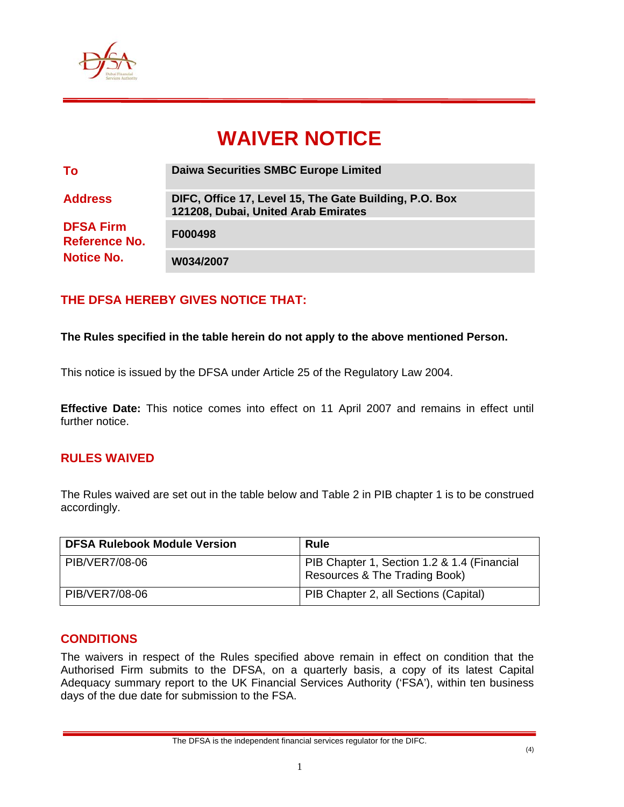

# **WAIVER NOTICE**

| To                                                            | <b>Daiwa Securities SMBC Europe Limited</b>                                                   |
|---------------------------------------------------------------|-----------------------------------------------------------------------------------------------|
| <b>Address</b>                                                | DIFC, Office 17, Level 15, The Gate Building, P.O. Box<br>121208, Dubai, United Arab Emirates |
| <b>DFSA Firm</b><br><b>Reference No.</b><br><b>Notice No.</b> | F000498                                                                                       |
|                                                               | W034/2007                                                                                     |

## **THE DFSA HEREBY GIVES NOTICE THAT:**

#### **The Rules specified in the table herein do not apply to the above mentioned Person.**

This notice is issued by the DFSA under Article 25 of the Regulatory Law 2004.

**Effective Date:** This notice comes into effect on 11 April 2007 and remains in effect until further notice.

#### **RULES WAIVED**

The Rules waived are set out in the table below and Table 2 in PIB chapter 1 is to be construed accordingly.

| <b>DFSA Rulebook Module Version</b> | <b>Rule</b>                                                                  |
|-------------------------------------|------------------------------------------------------------------------------|
| PIB/VER7/08-06                      | PIB Chapter 1, Section 1.2 & 1.4 (Financial<br>Resources & The Trading Book) |
| PIB/VER7/08-06                      | PIB Chapter 2, all Sections (Capital)                                        |

#### **CONDITIONS**

The waivers in respect of the Rules specified above remain in effect on condition that the Authorised Firm submits to the DFSA, on a quarterly basis, a copy of its latest Capital Adequacy summary report to the UK Financial Services Authority ('FSA'), within ten business days of the due date for submission to the FSA.